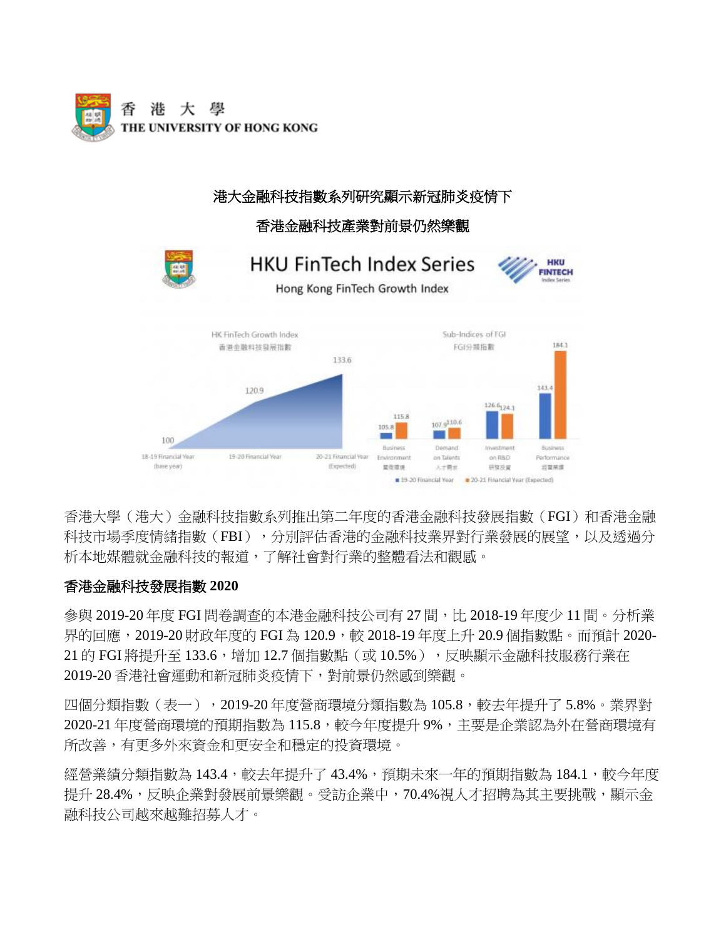

#### 港大金融科技指數系列研究顯示新冠肺炎疫情下 香港金融科技產業對前景仍然樂觀 **HKU FinTech Index Series** HKU **FINTECH** Hong Kong FinTech Growth Index HK FinTech Growth Index Sub-Indices of FGI  $184.1$ 香港金融科技發展指數 FGI分類指數 133.6 143.4 120.9  $126.6$ <sub>124.1</sub> 115.8 107.9<sup>110.6</sup>  $105.8$ **CONTRACTOR** 100 Business Demand trivestment Business 18-19 Financial Year 19-20 Financial Year 20-21 Financial Vear Environment on Talents on RBD Performance (base year) (Expected) 显示范围 大学開発 研究技術 将型装置 19-20 Financial Year 20-21 Financial Year (Expected)

香港大學(港大)金融科技指數系列推出第二年度的香港金融科技發展指數(FGI)和香港金融 科技市場季度情緒指數(FBI),分別評估香港的金融科技業界對行業發展的展望,以及透過分 析本地媒體就金融科技的報道,了解社會對行業的整體看法和觀感。

## 香港金融科技發展指數 **2020**

參與 2019-20年度 FGI 問卷調杳的本港金融科技公司有 27 間, H 2018-19年度少 11 間。分析業 界的回應, 2019-20 財政年度的 FGI 為 120.9, 較 2018-19 年度上升 20.9 個指數點。而預計 2020-21 的 FGI 將提升至 133.6,增加 12.7 個指數點(或 10.5%),反映顯示金融科技服務行業在 2019-20 香港社會運動和新冠肺炎疫情下,對前景仍然感到樂觀。

四個分類指數(表一),2019-20年度營商環境分類指數為 105.8,較去年提升了 5.8%。業界對 2020-21 年度營商環境的預期指數為 115.8,較今年度提升 9%,主要是企業認為外在營商環境有 所改善,有更多外來資金和更安全和穩定的投資環境。

經營業績分類指數為 143.4,較去年提升了 43.4%,預期未來一年的預期指數為 184.1,較今年度 提升 28.4%,反映企業對發展前景樂觀。受訪企業中,70.4%視人才招聘為其主要挑戰,顯示金 融科技公司越來越難招募人才。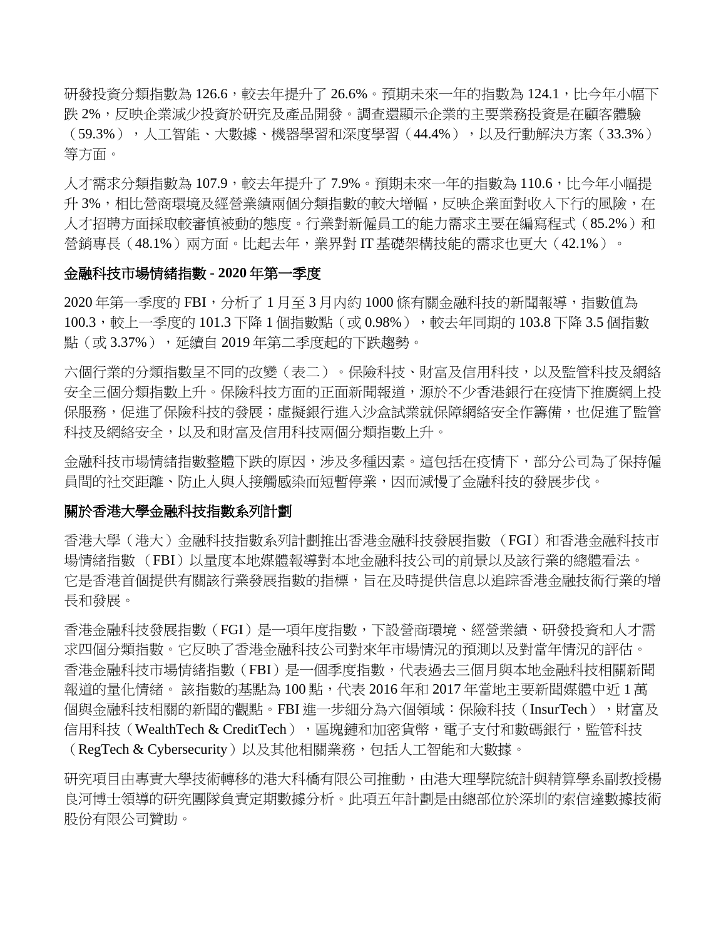研發投資分類指數為 126.6,較去年提升了 26.6%。預期未來一年的指數為 124.1,比今年小幅下 跌 2%,反映企業減少投資於研究及產品開發。調查還顯示企業的主要業務投資是在顧客體驗 (59.3% ),人工智能、大數據、機器學習和深度學習(44.4% ),以及行動解決方案(33.3% ) 等方面。

人才需求分類指數為 107.9,較去年提升了 7.9%。預期未來一年的指數為 110.6,比今年小幅提 升 3%,相比營商環境及經營業績兩個分類指數的較大增幅,反映企業面對收入下行的風險,在 人才招聘方面採取較審慎被動的態度。行業對新僱員工的能力需求主要在編寫程式(85.2%)和 營銷專長(48.1%)兩方面。比起去年,業界對 IT 基礎架構技能的需求也更大(42.1%)。

#### 金融科技市場情緒指數 **- 2020** 年第一季度

2020 年第一季度的 FBI,分析了 1 月至 3 月内約 1000 條有關金融科技的新聞報導,指數值為 100.3,較上一季度的 101.3 下降 1 個指數點(或 0.98% ),較去年同期的 103.8 下降 3.5 個指數 點(或3.37%),延續自 2019年第二季度起的下跌趨勢。

六個行業的分類指數呈不同的改變(表二)。保險科技、財富及信用科技,以及監管科技及網絡 安全三個分類指數上升。保險科技方面的正面新聞報道,源於不少香港銀行在疫情下推廣網上投 保服務,促進了保險科技的發展;虛擬銀行進入沙盒試業就保障網絡安全作籌備,也促進了監管 科技及網絡安全,以及和財富及信用科技兩個分類指數上升。

金融科技市場情緒指數整體下跌的原因,涉及多種因素。這包括在疫情下,部分公司為了保持僱 員間的社交距離、防止人與人接觸感染而短暫停業,因而減慢了金融科技的發展步伐。

#### 關於香港大學金融科技指數系列計劃

香港大學(港大)金融科技指數系列計劃推出香港金融科技發展指數 (FGI)和香港金融科技市 場情緒指數 (FBI)以量度本地媒體報導對本地金融科技公司的前景以及該行業的總體看法。 它是香港首個提供有關該行業發展指數的指標,旨在及時提供信息以追踪香港金融技術行業的增 長和發展。

香港金融科技發展指數(FGI)是一項年度指數,下設營商環境、經營業績、研發投資和人才需 求四個分類指數。它反映了香港金融科技公司對來年市場情況的預測以及對當年情況的評估。 香港金融科技市場情緒指數(FBI)是一個季度指數,代表過去三個月與本地金融科技相關新聞 報道的量化情緒。 該指數的基點為 100 點,代表 2016 年和 2017 年當地主要新聞媒體中近 1 萬 個與金融科技相關的新聞的觀點。FBI 進一步細分為六個領域:保險科技(InsurTech),財富及 信用科技(WealthTech & CreditTech),區塊鏈和加密貨幣,電子支付和數碼銀行,監管科技 (RegTech & Cybersecurity)以及其他相關業務,包括人工智能和大數據。

研究項目由專責大學技術轉移的港大科橋有限公司推動,由港大理學院統計與精算學系副教授楊 良河博士領導的研究團隊負責定期數據分析。此項五年計劃是由總部位於深圳的索信達數據技術 股份有限公司贊助。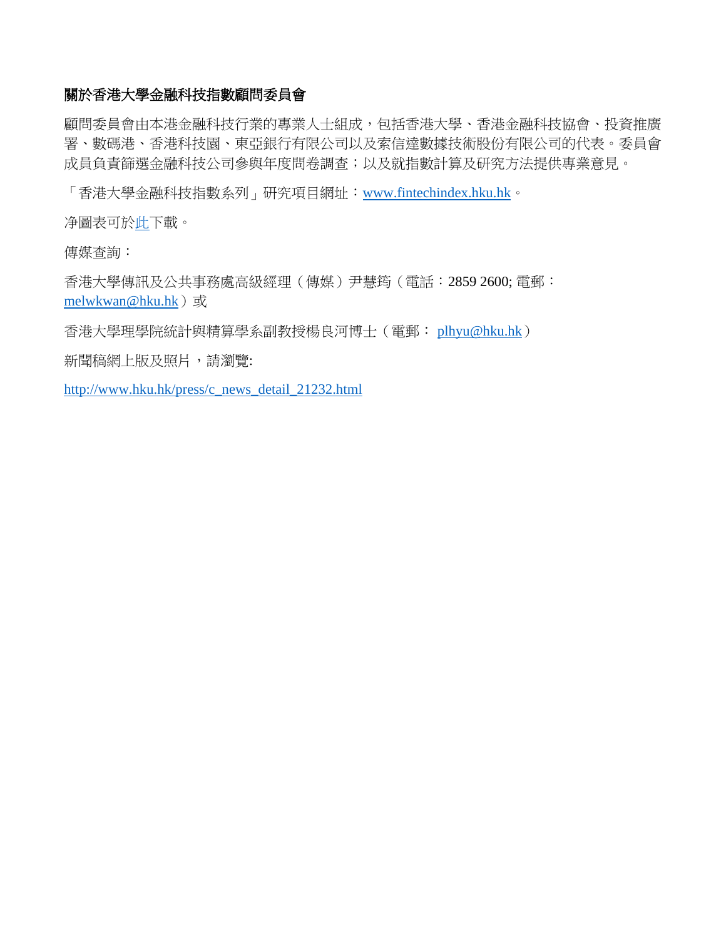#### 關於香港大學金融科技指數顧問委員會

顧問委員會由本港金融科技行業的專業人士組成,包括香港大學、香港金融科技協會、投資推廣 署、數碼港、香港科技園、東亞銀行有限公司以及索信達數據技術股份有限公司的代表。委員會 成員負責篩選金融科技公司參與年度問卷調查;以及就指數計算及研究方法提供專業意見。

「香港大學金融科技指數系列」研究項目網址:[www.fintechindex.hku.hk](file:///D:/Python/FinTech/www.fintechindex.hku.hk)。

净圖表可[於此下](http://hkucms.hku.hk/www/edm/redirect.php?url=http%3A%2F%2Fwww.dropbox.com%2Fsh%2F29uw0vpewwju2xc%2FAADOMdm0qAO8TNcALMeq_xyPa%3Fdl%3D0&id=4775&email=no-reply%40hku.hk)載。

傳媒查詢:

香港大學傳訊及公共事務處高級經理(傳媒)尹慧筠(電話︰2859 2600; 電郵: [melwkwan@hku.hk](mailto:melwkwan@hku.hk))或

香港大學理學院統計與精算學系副教授楊良河博士(電郵: [plhyu@hku.hk](mailto:plhyu@hku.hk))

新聞稿網上版及照片,請瀏覽:

[http://www.hku.hk/press/c\\_news\\_detail\\_21232.html](http://www.hku.hk/press/c_news_detail_21232.html)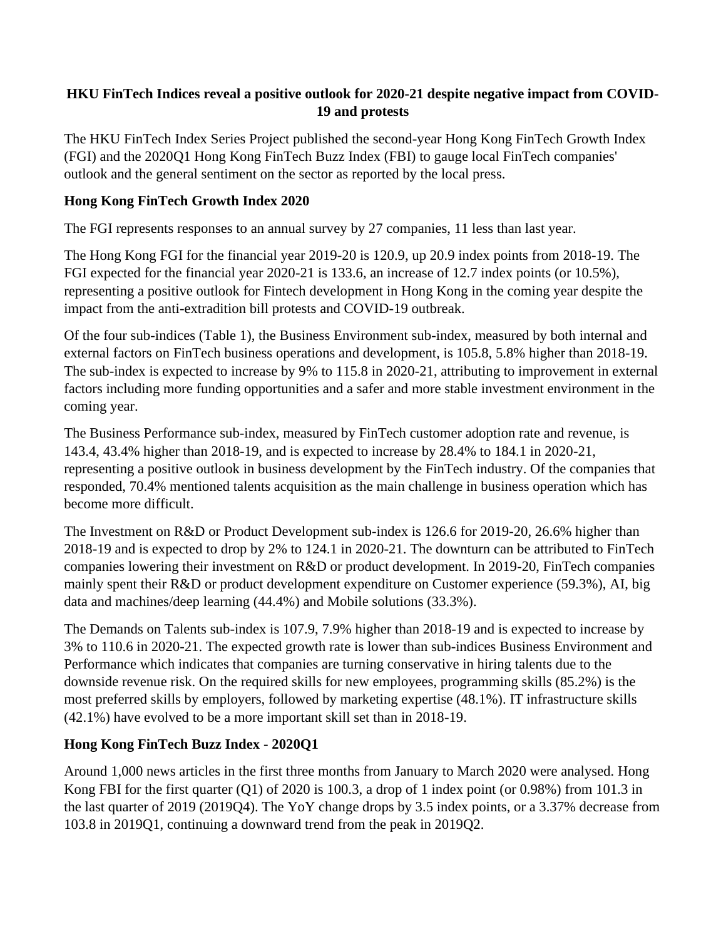## **HKU FinTech Indices reveal a positive outlook for 2020-21 despite negative impact from COVID-19 and protests**

The HKU FinTech Index Series Project published the second-year Hong Kong FinTech Growth Index (FGI) and the 2020Q1 Hong Kong FinTech Buzz Index (FBI) to gauge local FinTech companies' outlook and the general sentiment on the sector as reported by the local press.

# **Hong Kong FinTech Growth Index 2020**

The FGI represents responses to an annual survey by 27 companies, 11 less than last year.

The Hong Kong FGI for the financial year 2019-20 is 120.9, up 20.9 index points from 2018-19. The FGI expected for the financial year 2020-21 is 133.6, an increase of 12.7 index points (or 10.5%), representing a positive outlook for Fintech development in Hong Kong in the coming year despite the impact from the anti-extradition bill protests and COVID-19 outbreak.

Of the four sub-indices (Table 1), the Business Environment sub-index, measured by both internal and external factors on FinTech business operations and development, is 105.8, 5.8% higher than 2018-19. The sub-index is expected to increase by 9% to 115.8 in 2020-21, attributing to improvement in external factors including more funding opportunities and a safer and more stable investment environment in the coming year.

The Business Performance sub-index, measured by FinTech customer adoption rate and revenue, is 143.4, 43.4% higher than 2018-19, and is expected to increase by 28.4% to 184.1 in 2020-21, representing a positive outlook in business development by the FinTech industry. Of the companies that responded, 70.4% mentioned talents acquisition as the main challenge in business operation which has become more difficult.

The Investment on R&D or Product Development sub-index is 126.6 for 2019-20, 26.6% higher than 2018-19 and is expected to drop by 2% to 124.1 in 2020-21. The downturn can be attributed to FinTech companies lowering their investment on R&D or product development. In 2019-20, FinTech companies mainly spent their R&D or product development expenditure on Customer experience (59.3%), AI, big data and machines/deep learning (44.4%) and Mobile solutions (33.3%).

The Demands on Talents sub-index is 107.9, 7.9% higher than 2018-19 and is expected to increase by 3% to 110.6 in 2020-21. The expected growth rate is lower than sub-indices Business Environment and Performance which indicates that companies are turning conservative in hiring talents due to the downside revenue risk. On the required skills for new employees, programming skills (85.2%) is the most preferred skills by employers, followed by marketing expertise (48.1%). IT infrastructure skills (42.1%) have evolved to be a more important skill set than in 2018-19.

# **Hong Kong FinTech Buzz Index - 2020Q1**

Around 1,000 news articles in the first three months from January to March 2020 were analysed. Hong Kong FBI for the first quarter (Q1) of 2020 is 100.3, a drop of 1 index point (or 0.98%) from 101.3 in the last quarter of 2019 (2019Q4). The YoY change drops by 3.5 index points, or a 3.37% decrease from 103.8 in 2019Q1, continuing a downward trend from the peak in 2019Q2.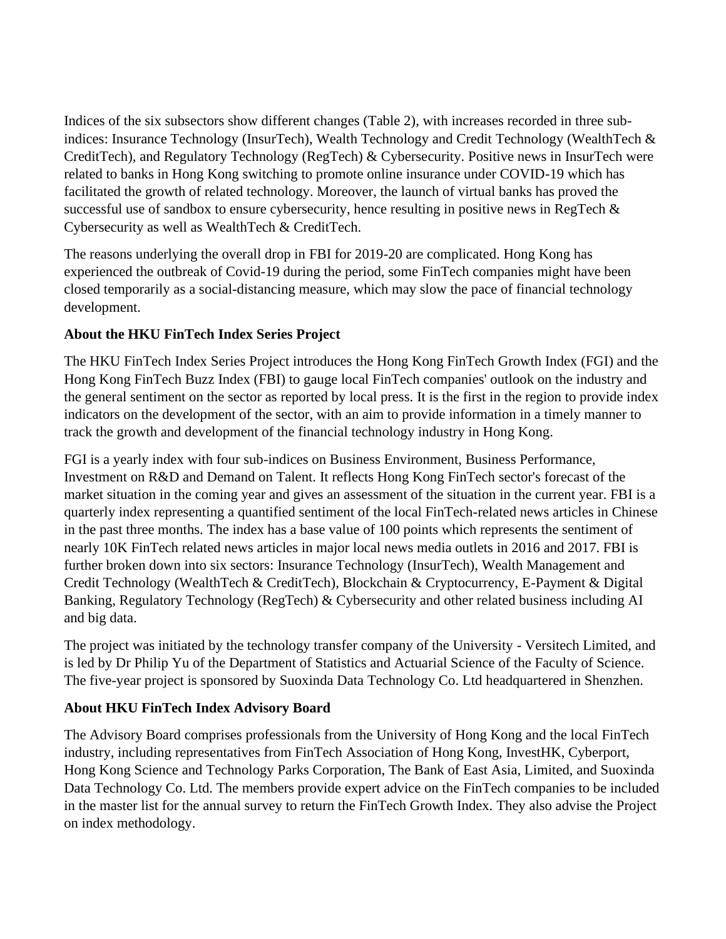Indices of the six subsectors show different changes (Table 2), with increases recorded in three subindices: Insurance Technology (InsurTech), Wealth Technology and Credit Technology (WealthTech & CreditTech), and Regulatory Technology (RegTech) & Cybersecurity. Positive news in InsurTech were related to banks in Hong Kong switching to promote online insurance under COVID-19 which has facilitated the growth of related technology. Moreover, the launch of virtual banks has proved the successful use of sandbox to ensure cybersecurity, hence resulting in positive news in RegTech & Cybersecurity as well as WealthTech & CreditTech.

The reasons underlying the overall drop in FBI for 2019-20 are complicated. Hong Kong has experienced the outbreak of Covid-19 during the period, some FinTech companies might have been closed temporarily as a social-distancing measure, which may slow the pace of financial technology development.

## **About the HKU FinTech Index Series Project**

The HKU FinTech Index Series Project introduces the Hong Kong FinTech Growth Index (FGI) and the Hong Kong FinTech Buzz Index (FBI) to gauge local FinTech companies' outlook on the industry and the general sentiment on the sector as reported by local press. It is the first in the region to provide index indicators on the development of the sector, with an aim to provide information in a timely manner to track the growth and development of the financial technology industry in Hong Kong.

FGI is a yearly index with four sub-indices on Business Environment, Business Performance, Investment on R&D and Demand on Talent. It reflects Hong Kong FinTech sector's forecast of the market situation in the coming year and gives an assessment of the situation in the current year. FBI is a quarterly index representing a quantified sentiment of the local FinTech-related news articles in Chinese in the past three months. The index has a base value of 100 points which represents the sentiment of nearly 10K FinTech related news articles in major local news media outlets in 2016 and 2017. FBI is further broken down into six sectors: Insurance Technology (InsurTech), Wealth Management and Credit Technology (WealthTech & CreditTech), Blockchain & Cryptocurrency, E-Payment & Digital Banking, Regulatory Technology (RegTech) & Cybersecurity and other related business including AI and big data.

The project was initiated by the technology transfer company of the University - Versitech Limited, and is led by Dr Philip Yu of the Department of Statistics and Actuarial Science of the Faculty of Science. The five-year project is sponsored by Suoxinda Data Technology Co. Ltd headquartered in Shenzhen.

## **About HKU FinTech Index Advisory Board**

The Advisory Board comprises professionals from the University of Hong Kong and the local FinTech industry, including representatives from FinTech Association of Hong Kong, InvestHK, Cyberport, Hong Kong Science and Technology Parks Corporation, The Bank of East Asia, Limited, and Suoxinda Data Technology Co. Ltd. The members provide expert advice on the FinTech companies to be included in the master list for the annual survey to return the FinTech Growth Index. They also advise the Project on index methodology.